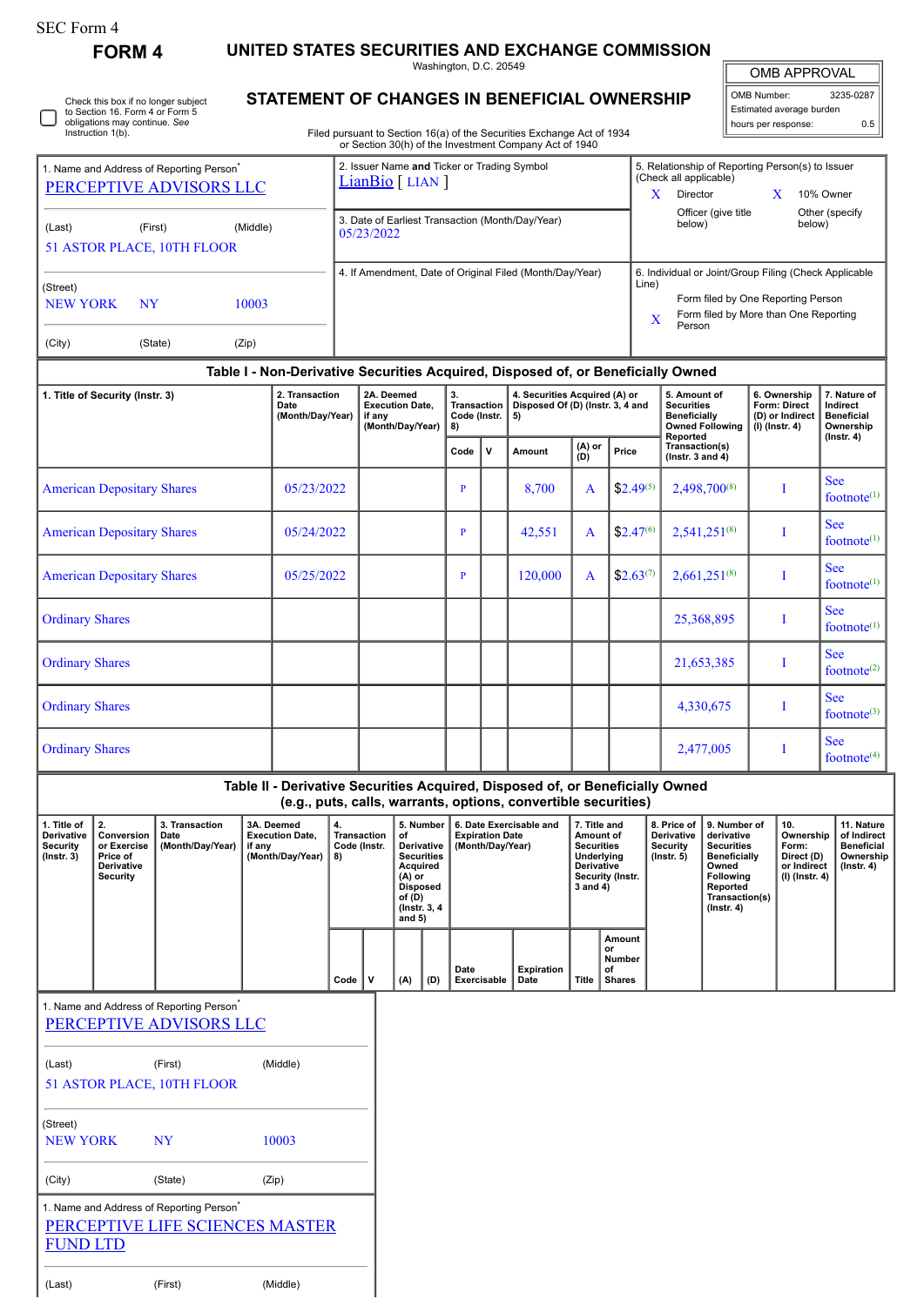## SEC Form 4

**FORM 4 UNITED STATES SECURITIES AND EXCHANGE COMMISSION**

Washington, D.C. 20549

OMB APPROVAL

| OMB Number:              | 3235-0287 |
|--------------------------|-----------|
| Estimated average burden |           |
| hours per response:      | ሰ 5       |

5. Relationship of Reporting Person(s) to Issuer

 $\mathbb I$ 

(Check all applicable)

| O | Check this box if no longer subject<br>to Section 16. Form 4 or Form 5<br>obligations may continue. See<br>Instruction 1(b). |  |
|---|------------------------------------------------------------------------------------------------------------------------------|--|
|---|------------------------------------------------------------------------------------------------------------------------------|--|

1. Name and Address of Reporting Person<sup>\*</sup>

(Last) (First) (Middle)

## **STATEMENT OF CHANGES IN BENEFICIAL OWNERSHIP**

Filed pursuant to Section 16(a) of the Securities Exchange Act of 1934 or Section 30(h) of the Investment Company Act of 1940

2. Issuer Name **and** Ticker or Trading Symbol

[LianBio](http://www.sec.gov/cgi-bin/browse-edgar?action=getcompany&CIK=0001831283) [ LIAN ]

| PERCEPTIVE ADVISORS LLC                                                         |                                                                                                                                                                                                              |         |                                                                                                                                                                            |            | $LianBIO$ $LIAN$                                                      |   |                                                          |                                                                                                                |                                                                         |              |                                                                                                                                                                                                                           | Crieck all applicable)<br>10% Owner<br>X.<br>Director<br>X |                                                                                                |                                                                                                                                                              |                                                                   |                                                                                |                              |                              |  |
|---------------------------------------------------------------------------------|--------------------------------------------------------------------------------------------------------------------------------------------------------------------------------------------------------------|---------|----------------------------------------------------------------------------------------------------------------------------------------------------------------------------|------------|-----------------------------------------------------------------------|---|----------------------------------------------------------|----------------------------------------------------------------------------------------------------------------|-------------------------------------------------------------------------|--------------|---------------------------------------------------------------------------------------------------------------------------------------------------------------------------------------------------------------------------|------------------------------------------------------------|------------------------------------------------------------------------------------------------|--------------------------------------------------------------------------------------------------------------------------------------------------------------|-------------------------------------------------------------------|--------------------------------------------------------------------------------|------------------------------|------------------------------|--|
| (Middle)<br>(Last)<br>(First)<br>51 ASTOR PLACE, 10TH FLOOR                     |                                                                                                                                                                                                              |         |                                                                                                                                                                            |            | 3. Date of Earliest Transaction (Month/Day/Year)<br>05/23/2022        |   |                                                          |                                                                                                                |                                                                         |              |                                                                                                                                                                                                                           |                                                            | Officer (give title<br>Other (specify<br>below)<br>below)                                      |                                                                                                                                                              |                                                                   |                                                                                |                              |                              |  |
| (Street)<br><b>NEW YORK</b><br>(City)                                           | NY                                                                                                                                                                                                           | (State) | 10003<br>(Zip)                                                                                                                                                             |            |                                                                       |   | 4. If Amendment, Date of Original Filed (Month/Day/Year) |                                                                                                                |                                                                         |              |                                                                                                                                                                                                                           |                                                            |                                                                                                | 6. Individual or Joint/Group Filing (Check Applicable<br>Line)<br>Form filed by One Reporting Person<br>Form filed by More than One Reporting<br>X<br>Person |                                                                   |                                                                                |                              |                              |  |
|                                                                                 |                                                                                                                                                                                                              |         |                                                                                                                                                                            |            |                                                                       |   |                                                          |                                                                                                                |                                                                         |              | Table I - Non-Derivative Securities Acquired, Disposed of, or Beneficially Owned                                                                                                                                          |                                                            |                                                                                                |                                                                                                                                                              |                                                                   |                                                                                |                              |                              |  |
| 1. Title of Security (Instr. 3)                                                 |                                                                                                                                                                                                              |         | 2. Transaction<br>Date<br>(Month/Day/Year)                                                                                                                                 |            | 2A. Deemed<br><b>Execution Date,</b><br>if any<br>(Month/Day/Year)    |   | 3.<br><b>Transaction</b><br>Code (Instr.<br>8)           |                                                                                                                | 4. Securities Acquired (A) or<br>Disposed Of (D) (Instr. 3, 4 and<br>5) |              |                                                                                                                                                                                                                           |                                                            | 5. Amount of<br><b>Securities</b><br><b>Beneficially</b><br><b>Owned Following</b><br>Reported |                                                                                                                                                              | 6. Ownership<br>Form: Direct<br>(D) or Indirect<br>(I) (Instr. 4) | 7. Nature of<br>Indirect<br><b>Beneficial</b><br>Ownership<br>$($ lnstr. 4 $)$ |                              |                              |  |
|                                                                                 |                                                                                                                                                                                                              |         |                                                                                                                                                                            |            |                                                                       |   |                                                          |                                                                                                                | Code                                                                    | $\mathsf{v}$ | Amount                                                                                                                                                                                                                    | (D)                                                        | (A) or<br>Price                                                                                |                                                                                                                                                              | Transaction(s)<br>( $lnstr. 3 and 4$ )                            |                                                                                |                              |                              |  |
|                                                                                 | <b>American Depositary Shares</b>                                                                                                                                                                            |         |                                                                                                                                                                            | 05/23/2022 |                                                                       |   |                                                          |                                                                                                                | $\mathbf{P}$                                                            |              | 8,700                                                                                                                                                                                                                     | A                                                          |                                                                                                | $$2.49^{(5)}$                                                                                                                                                |                                                                   | 2,498,700 $^{(8)}$                                                             | I                            | <b>See</b><br>footnote $(1)$ |  |
|                                                                                 | <b>American Depositary Shares</b>                                                                                                                                                                            |         |                                                                                                                                                                            | 05/24/2022 |                                                                       |   |                                                          |                                                                                                                | $\mathbf{P}$                                                            |              | 42,551                                                                                                                                                                                                                    | A                                                          |                                                                                                | $$2.47^{(6)}$                                                                                                                                                |                                                                   | 2,541,251 <sup>(8)</sup>                                                       | I                            | <b>See</b><br>footnote $(1)$ |  |
|                                                                                 | <b>American Depositary Shares</b>                                                                                                                                                                            |         |                                                                                                                                                                            | 05/25/2022 |                                                                       |   |                                                          |                                                                                                                | $\mathbf{P}$                                                            |              | 120,000                                                                                                                                                                                                                   | A                                                          |                                                                                                | $$2.63^{(7)}$                                                                                                                                                |                                                                   | $2,661,251^{(8)}$                                                              | I                            | <b>See</b><br>footnote $(1)$ |  |
| <b>Ordinary Shares</b>                                                          |                                                                                                                                                                                                              |         |                                                                                                                                                                            |            |                                                                       |   |                                                          |                                                                                                                |                                                                         |              |                                                                                                                                                                                                                           |                                                            |                                                                                                |                                                                                                                                                              | 25,368,895                                                        | I                                                                              | <b>See</b><br>footnote $(1)$ |                              |  |
| <b>Ordinary Shares</b>                                                          |                                                                                                                                                                                                              |         |                                                                                                                                                                            |            |                                                                       |   |                                                          |                                                                                                                |                                                                         |              |                                                                                                                                                                                                                           |                                                            |                                                                                                | 21,653,385                                                                                                                                                   | I                                                                 | <b>See</b><br>footnote $(2)$                                                   |                              |                              |  |
| <b>Ordinary Shares</b>                                                          |                                                                                                                                                                                                              |         |                                                                                                                                                                            |            |                                                                       |   |                                                          |                                                                                                                |                                                                         |              |                                                                                                                                                                                                                           |                                                            |                                                                                                |                                                                                                                                                              | 4,330,675                                                         | I                                                                              | <b>See</b><br>footnote $(3)$ |                              |  |
| <b>Ordinary Shares</b>                                                          |                                                                                                                                                                                                              |         |                                                                                                                                                                            |            |                                                                       |   |                                                          |                                                                                                                |                                                                         |              |                                                                                                                                                                                                                           |                                                            |                                                                                                |                                                                                                                                                              |                                                                   | 2,477,005                                                                      | I                            | <b>See</b><br>footnote $(4)$ |  |
|                                                                                 |                                                                                                                                                                                                              |         |                                                                                                                                                                            |            |                                                                       |   |                                                          |                                                                                                                |                                                                         |              | Table II - Derivative Securities Acquired, Disposed of, or Beneficially Owned<br>(e.g., puts, calls, warrants, options, convertible securities)                                                                           |                                                            |                                                                                                |                                                                                                                                                              |                                                                   |                                                                                |                              |                              |  |
| 1. Title of<br>Derivative<br>Security<br>$($ Instr. 3 $)$                       | 2.<br>3A. Deemed<br>3. Transaction<br>4.<br><b>Execution Date,</b><br>Conversion<br>Date<br>(Month/Day/Year)<br>or Exercise<br>if any<br>(Month/Day/Year)<br>Price of<br>8)<br><b>Derivative</b><br>Security |         | 5. Number<br><b>Transaction</b><br>of<br>Code (Instr.<br>Derivative<br><b>Securities</b><br>Acquired<br>(A) or<br><b>Disposed</b><br>of $(D)$<br>(Instr. 3, 4)<br>and $5)$ |            | 6. Date Exercisable and<br><b>Expiration Date</b><br>(Month/Day/Year) |   |                                                          | 7. Title and<br>Amount of<br><b>Securities</b><br>Underlying<br>Derivative<br>Security (Instr.<br>$3$ and $4)$ |                                                                         |              | 8. Price of<br>9. Number of<br>Derivative<br>derivative<br><b>Security</b><br><b>Securities</b><br><b>Beneficially</b><br>$($ Instr. 5 $)$<br>Owned<br><b>Following</b><br>Reported<br>Transaction(s)<br>$($ Instr. 4 $)$ |                                                            | 10.<br>Ownership<br>Form:<br>Direct (D)<br>or Indirect<br>(I) (Instr. 4)                       | 11. Nature<br>of Indirect<br><b>Beneficial</b><br>Ownership<br>$($ lnstr. 4 $)$                                                                              |                                                                   |                                                                                |                              |                              |  |
|                                                                                 |                                                                                                                                                                                                              |         |                                                                                                                                                                            |            | Code                                                                  | v | (A)                                                      | (D)                                                                                                            | Date                                                                    | Exercisable  | <b>Expiration</b><br>Date                                                                                                                                                                                                 | <b>Title</b>                                               | Amount<br>or<br>Number<br>of<br><b>Shares</b>                                                  |                                                                                                                                                              |                                                                   |                                                                                |                              |                              |  |
| 1. Name and Address of Reporting Person <sup>7</sup><br>PERCEPTIVE ADVISORS LLC |                                                                                                                                                                                                              |         |                                                                                                                                                                            |            |                                                                       |   |                                                          |                                                                                                                |                                                                         |              |                                                                                                                                                                                                                           |                                                            |                                                                                                |                                                                                                                                                              |                                                                   |                                                                                |                              |                              |  |
| (Middle)<br>(First)<br>(Last)<br>51 ASTOR PLACE, 10TH FLOOR                     |                                                                                                                                                                                                              |         |                                                                                                                                                                            |            |                                                                       |   |                                                          |                                                                                                                |                                                                         |              |                                                                                                                                                                                                                           |                                                            |                                                                                                |                                                                                                                                                              |                                                                   |                                                                                |                              |                              |  |
| (Street)<br><b>NEW YORK</b><br>10003<br><b>NY</b>                               |                                                                                                                                                                                                              |         |                                                                                                                                                                            |            |                                                                       |   |                                                          |                                                                                                                |                                                                         |              |                                                                                                                                                                                                                           |                                                            |                                                                                                |                                                                                                                                                              |                                                                   |                                                                                |                              |                              |  |
| (City)<br>(State)<br>(Zip)                                                      |                                                                                                                                                                                                              |         |                                                                                                                                                                            |            |                                                                       |   |                                                          |                                                                                                                |                                                                         |              |                                                                                                                                                                                                                           |                                                            |                                                                                                |                                                                                                                                                              |                                                                   |                                                                                |                              |                              |  |
|                                                                                 | 1. Name and Address of Reporting Person <sup>*</sup><br>PERCEPTIVE LIFE SCIENCES MASTER<br><b>FUND LTD</b>                                                                                                   |         |                                                                                                                                                                            |            |                                                                       |   |                                                          |                                                                                                                |                                                                         |              |                                                                                                                                                                                                                           |                                                            |                                                                                                |                                                                                                                                                              |                                                                   |                                                                                |                              |                              |  |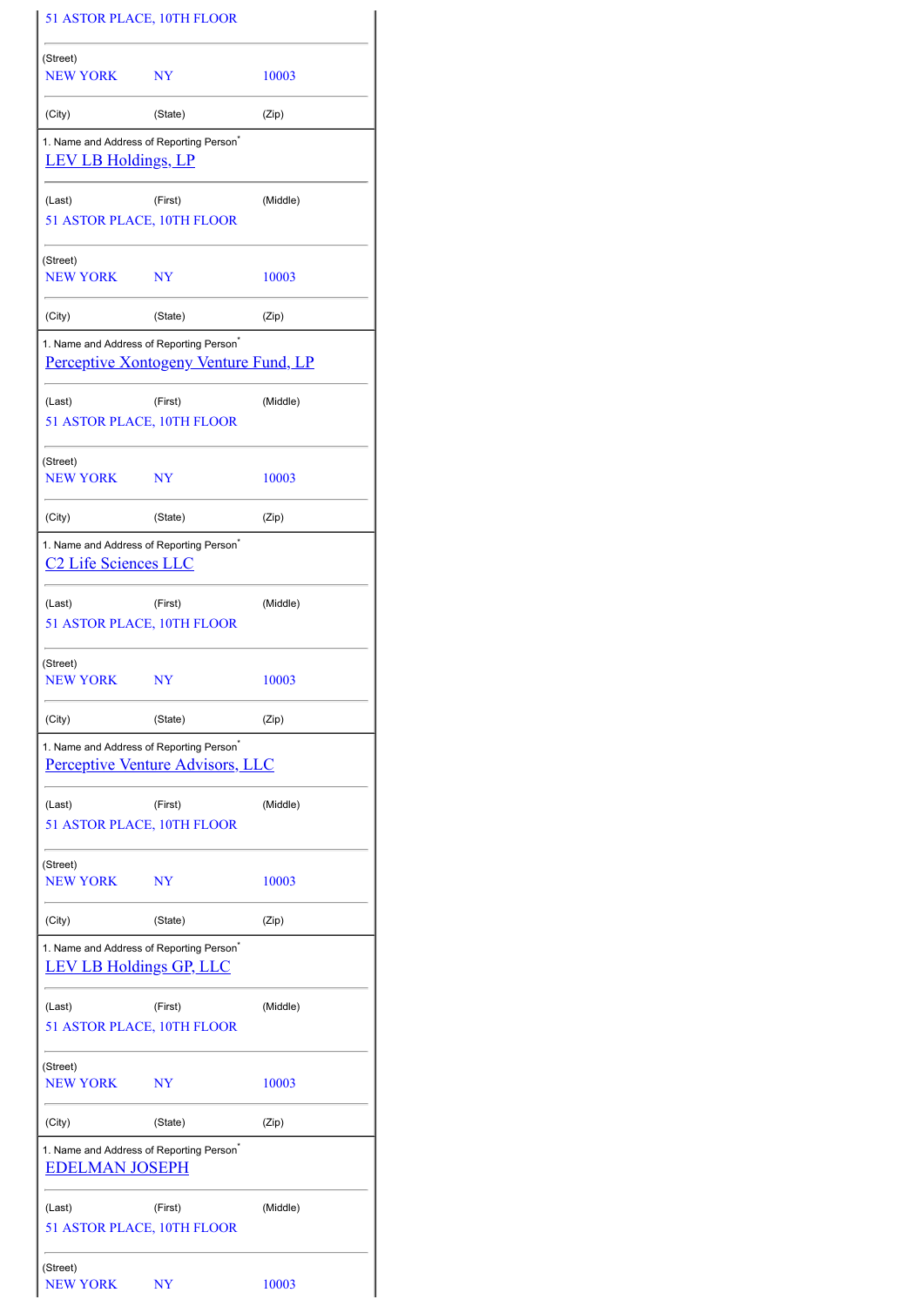|                                        | 51 ASTOR PLACE, 10TH FLOOR                                                                           |          |  |  |  |
|----------------------------------------|------------------------------------------------------------------------------------------------------|----------|--|--|--|
| (Street)<br><b>NEW YORK</b>            | NY                                                                                                   | 10003    |  |  |  |
| (City)                                 | (State)                                                                                              | (Zip)    |  |  |  |
| <b>LEV LB Holdings, LP</b>             | 1. Name and Address of Reporting Person <sup>®</sup>                                                 |          |  |  |  |
| (Last)                                 | (First)<br>51 ASTOR PLACE, 10TH FLOOR                                                                | (Middle) |  |  |  |
| (Street)<br>NEW YORK NY                |                                                                                                      | 10003    |  |  |  |
| (City)                                 | (State)                                                                                              | (Zip)    |  |  |  |
|                                        | 1. Name and Address of Reporting Person <sup>®</sup><br><b>Perceptive Xontogeny Venture Fund, LP</b> |          |  |  |  |
| (Last)                                 | (First)<br>51 ASTOR PLACE, 10TH FLOOR                                                                | (Middle) |  |  |  |
| (Street)<br>NEW YORK NY                |                                                                                                      | 10003    |  |  |  |
| (City)                                 | (State)                                                                                              | (Zip)    |  |  |  |
| <u>C<sub>2</sub></u> Life Sciences LLC | 1. Name and Address of Reporting Person <sup>*</sup>                                                 |          |  |  |  |
| (Last)                                 | (First)<br>51 ASTOR PLACE, 10TH FLOOR                                                                | (Middle) |  |  |  |
| (Street)<br>NEW YORK NY                |                                                                                                      | 10003    |  |  |  |
| (City)                                 | (State)                                                                                              | (Zip)    |  |  |  |
|                                        | 1. Name and Address of Reporting Person <sup>*</sup><br><b>Perceptive Venture Advisors, LLC</b>      |          |  |  |  |
| (Last)                                 | (First)<br>51 ASTOR PLACE, 10TH FLOOR                                                                | (Middle) |  |  |  |
| (Street)<br><b>NEW YORK</b>            | NY                                                                                                   | 10003    |  |  |  |
| (City)                                 | (State)                                                                                              | (Zip)    |  |  |  |
|                                        | 1. Name and Address of Reporting Person <sup>®</sup><br><b>LEV LB Holdings GP, LLC</b>               |          |  |  |  |
| (Last)                                 | (First)<br>51 ASTOR PLACE, 10TH FLOOR                                                                | (Middle) |  |  |  |
| (Street)<br>NEW YORK                   | $_{\rm NY}$                                                                                          | 10003    |  |  |  |
| (City)                                 | (State)                                                                                              | (Zip)    |  |  |  |
| <b>EDELMAN JOSEPH</b>                  | 1. Name and Address of Reporting Person <sup>*</sup>                                                 |          |  |  |  |
| (Last)                                 | (First)<br>51 ASTOR PLACE, 10TH FLOOR                                                                | (Middle) |  |  |  |
| (Street)<br><b>NEW YORK</b>            | NY                                                                                                   | 10003    |  |  |  |